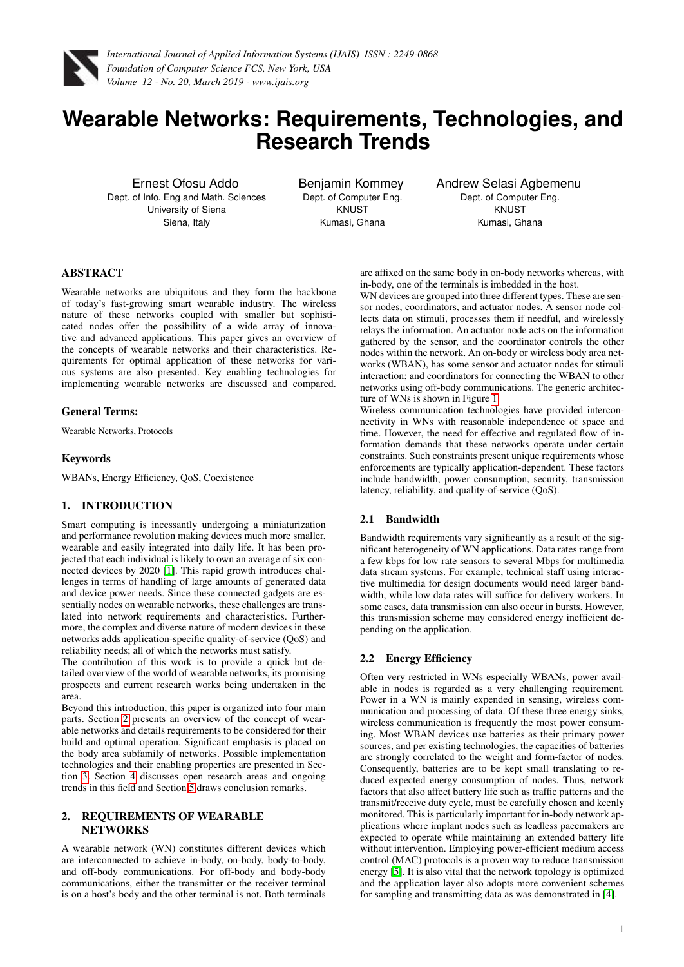

# **Wearable Networks: Requirements, Technologies, and Research Trends**

Ernest Ofosu Addo Dept. of Info. Eng and Math. Sciences University of Siena Siena, Italy

Benjamin Kommey Dept. of Computer Eng. **KNUST** Kumasi, Ghana

Andrew Selasi Agbemenu Dept. of Computer Eng. **KNUST** Kumasi, Ghana

# ABSTRACT

Wearable networks are ubiquitous and they form the backbone of today's fast-growing smart wearable industry. The wireless nature of these networks coupled with smaller but sophisticated nodes offer the possibility of a wide array of innovative and advanced applications. This paper gives an overview of the concepts of wearable networks and their characteristics. Requirements for optimal application of these networks for various systems are also presented. Key enabling technologies for implementing wearable networks are discussed and compared.

## General Terms:

Wearable Networks, Protocols

#### **Keywords**

WBANs, Energy Efficiency, QoS, Coexistence

## 1. INTRODUCTION

Smart computing is incessantly undergoing a miniaturization and performance revolution making devices much more smaller, wearable and easily integrated into daily life. It has been projected that each individual is likely to own an average of six connected devices by 2020 [\[1\]](#page-6-0). This rapid growth introduces challenges in terms of handling of large amounts of generated data and device power needs. Since these connected gadgets are essentially nodes on wearable networks, these challenges are translated into network requirements and characteristics. Furthermore, the complex and diverse nature of modern devices in these networks adds application-specific quality-of-service (QoS) and reliability needs; all of which the networks must satisfy.

The contribution of this work is to provide a quick but detailed overview of the world of wearable networks, its promising prospects and current research works being undertaken in the area.

Beyond this introduction, this paper is organized into four main parts. Section [2](#page-0-0) presents an overview of the concept of wearable networks and details requirements to be considered for their build and optimal operation. Significant emphasis is placed on the body area subfamily of networks. Possible implementation technologies and their enabling properties are presented in Section [3.](#page-1-0) Section [4](#page-5-0) discusses open research areas and ongoing trends in this field and Section [5](#page-5-1) draws conclusion remarks.

# <span id="page-0-0"></span>2. REQUIREMENTS OF WEARABLE **NETWORKS**

A wearable network (WN) constitutes different devices which are interconnected to achieve in-body, on-body, body-to-body, and off-body communications. For off-body and body-body communications, either the transmitter or the receiver terminal is on a host's body and the other terminal is not. Both terminals are affixed on the same body in on-body networks whereas, with in-body, one of the terminals is imbedded in the host.

WN devices are grouped into three different types. These are sensor nodes, coordinators, and actuator nodes. A sensor node collects data on stimuli, processes them if needful, and wirelessly relays the information. An actuator node acts on the information gathered by the sensor, and the coordinator controls the other nodes within the network. An on-body or wireless body area networks (WBAN), has some sensor and actuator nodes for stimuli interaction; and coordinators for connecting the WBAN to other networks using off-body communications. The generic architecture of WNs is shown in Figure [1.](#page-1-1)

Wireless communication technologies have provided interconnectivity in WNs with reasonable independence of space and time. However, the need for effective and regulated flow of information demands that these networks operate under certain constraints. Such constraints present unique requirements whose enforcements are typically application-dependent. These factors include bandwidth, power consumption, security, transmission latency, reliability, and quality-of-service (QoS).

## 2.1 Bandwidth

Bandwidth requirements vary significantly as a result of the significant heterogeneity of WN applications. Data rates range from a few kbps for low rate sensors to several Mbps for multimedia data stream systems. For example, technical staff using interactive multimedia for design documents would need larger bandwidth, while low data rates will suffice for delivery workers. In some cases, data transmission can also occur in bursts. However, this transmission scheme may considered energy inefficient depending on the application.

# 2.2 Energy Efficiency

Often very restricted in WNs especially WBANs, power available in nodes is regarded as a very challenging requirement. Power in a WN is mainly expended in sensing, wireless communication and processing of data. Of these three energy sinks, wireless communication is frequently the most power consuming. Most WBAN devices use batteries as their primary power sources, and per existing technologies, the capacities of batteries are strongly correlated to the weight and form-factor of nodes. Consequently, batteries are to be kept small translating to reduced expected energy consumption of nodes. Thus, network factors that also affect battery life such as traffic patterns and the transmit/receive duty cycle, must be carefully chosen and keenly monitored. This is particularly important for in-body network applications where implant nodes such as leadless pacemakers are expected to operate while maintaining an extended battery life without intervention. Employing power-efficient medium access control (MAC) protocols is a proven way to reduce transmission energy [\[5\]](#page-6-1). It is also vital that the network topology is optimized and the application layer also adopts more convenient schemes for sampling and transmitting data as was demonstrated in [\[4\]](#page-6-2).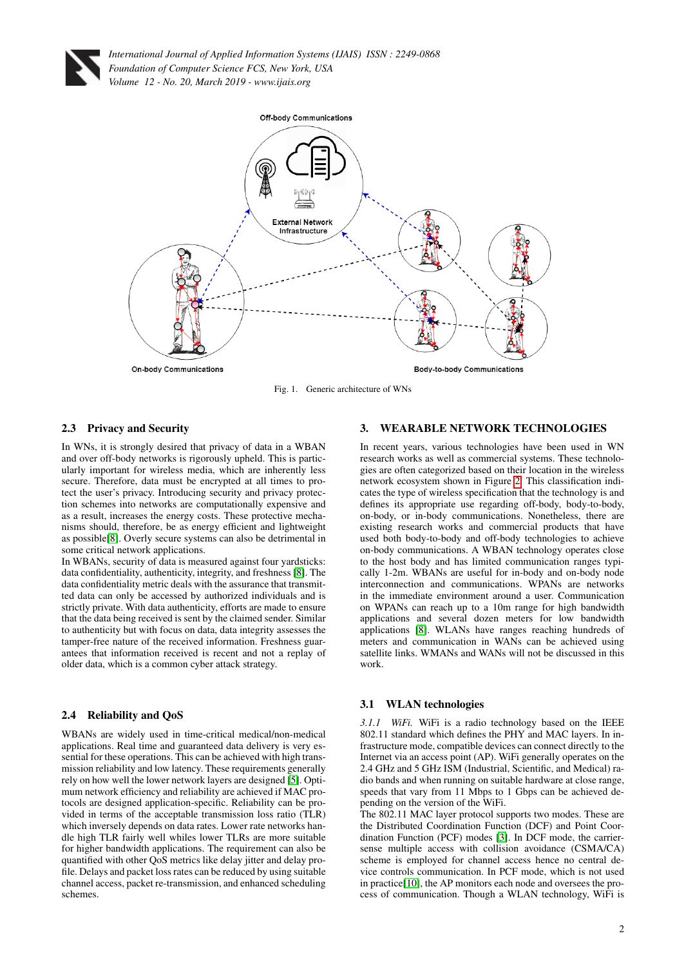



<span id="page-1-1"></span>Fig. 1. Generic architecture of WNs

# 2.3 Privacy and Security

In WNs, it is strongly desired that privacy of data in a WBAN and over off-body networks is rigorously upheld. This is particularly important for wireless media, which are inherently less secure. Therefore, data must be encrypted at all times to protect the user's privacy. Introducing security and privacy protection schemes into networks are computationally expensive and as a result, increases the energy costs. These protective mechanisms should, therefore, be as energy efficient and lightweight as possible[\[8\]](#page-6-3). Overly secure systems can also be detrimental in some critical network applications.

In WBANs, security of data is measured against four yardsticks: data confidentiality, authenticity, integrity, and freshness [\[8\]](#page-6-3). The data confidentiality metric deals with the assurance that transmitted data can only be accessed by authorized individuals and is strictly private. With data authenticity, efforts are made to ensure that the data being received is sent by the claimed sender. Similar to authenticity but with focus on data, data integrity assesses the tamper-free nature of the received information. Freshness guarantees that information received is recent and not a replay of older data, which is a common cyber attack strategy.

## 2.4 Reliability and QoS

WBANs are widely used in time-critical medical/non-medical applications. Real time and guaranteed data delivery is very essential for these operations. This can be achieved with high transmission reliability and low latency. These requirements generally rely on how well the lower network layers are designed [\[5\]](#page-6-1). Optimum network efficiency and reliability are achieved if MAC protocols are designed application-specific. Reliability can be provided in terms of the acceptable transmission loss ratio (TLR) which inversely depends on data rates. Lower rate networks handle high TLR fairly well whiles lower TLRs are more suitable for higher bandwidth applications. The requirement can also be quantified with other QoS metrics like delay jitter and delay profile. Delays and packet loss rates can be reduced by using suitable channel access, packet re-transmission, and enhanced scheduling schemes.

#### <span id="page-1-0"></span>3. WEARABLE NETWORK TECHNOLOGIES

In recent years, various technologies have been used in WN research works as well as commercial systems. These technologies are often categorized based on their location in the wireless network ecosystem shown in Figure [2.](#page-2-0) This classification indicates the type of wireless specification that the technology is and defines its appropriate use regarding off-body, body-to-body, on-body, or in-body communications. Nonetheless, there are existing research works and commercial products that have used both body-to-body and off-body technologies to achieve on-body communications. A WBAN technology operates close to the host body and has limited communication ranges typically 1-2m. WBANs are useful for in-body and on-body node interconnection and communications. WPANs are networks in the immediate environment around a user. Communication on WPANs can reach up to a 10m range for high bandwidth applications and several dozen meters for low bandwidth applications [\[8\]](#page-6-3). WLANs have ranges reaching hundreds of meters and communication in WANs can be achieved using satellite links. WMANs and WANs will not be discussed in this work.

#### 3.1 WLAN technologies

*3.1.1 WiFi.* WiFi is a radio technology based on the IEEE 802.11 standard which defines the PHY and MAC layers. In infrastructure mode, compatible devices can connect directly to the Internet via an access point (AP). WiFi generally operates on the 2.4 GHz and 5 GHz ISM (Industrial, Scientific, and Medical) radio bands and when running on suitable hardware at close range, speeds that vary from 11 Mbps to 1 Gbps can be achieved depending on the version of the WiFi.

The 802.11 MAC layer protocol supports two modes. These are the Distributed Coordination Function (DCF) and Point Coordination Function (PCF) modes [\[3\]](#page-6-4). In DCF mode, the carriersense multiple access with collision avoidance (CSMA/CA) scheme is employed for channel access hence no central device controls communication. In PCF mode, which is not used in practice[\[10\]](#page-6-5), the AP monitors each node and oversees the process of communication. Though a WLAN technology, WiFi is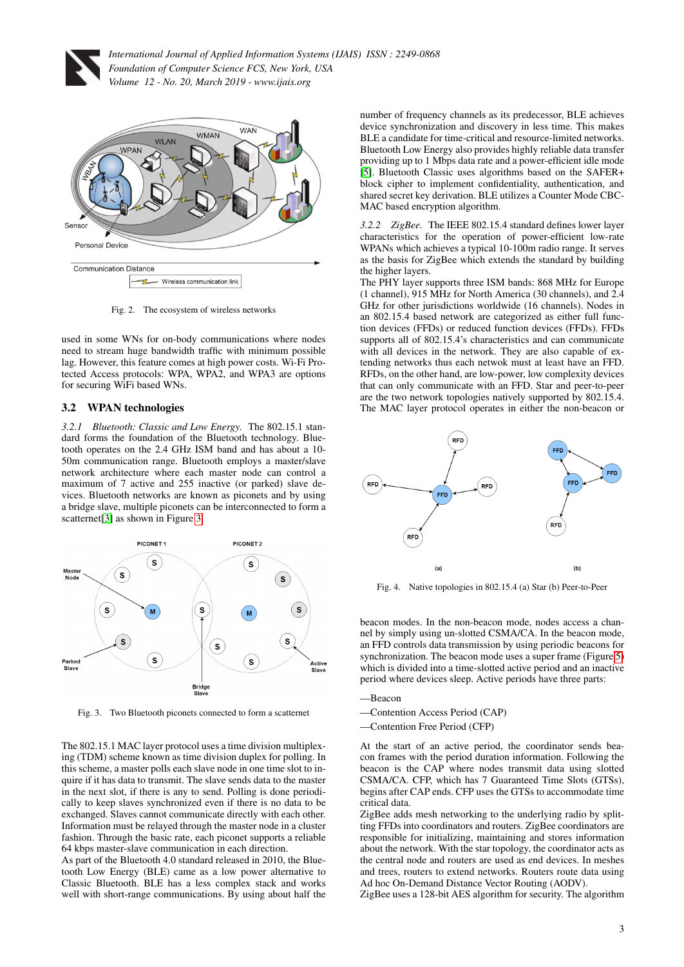



<span id="page-2-0"></span>Fig. 2. The ecosystem of wireless networks

used in some WNs for on-body communications where nodes need to stream huge bandwidth traffic with minimum possible lag. However, this feature comes at high power costs. Wi-Fi Protected Access protocols: WPA, WPA2, and WPA3 are options for securing WiFi based WNs.

## 3.2 WPAN technologies

*3.2.1 Bluetooth: Classic and Low Energy.* The 802.15.1 standard forms the foundation of the Bluetooth technology. Bluetooth operates on the 2.4 GHz ISM band and has about a 10- 50m communication range. Bluetooth employs a master/slave network architecture where each master node can control a maximum of 7 active and 255 inactive (or parked) slave devices. Bluetooth networks are known as piconets and by using a bridge slave, multiple piconets can be interconnected to form a scatternet<sup>[\[3\]](#page-6-4)</sup> as shown in Figure [3.](#page-2-1)



<span id="page-2-1"></span>Fig. 3. Two Bluetooth piconets connected to form a scatternet

The 802.15.1 MAC layer protocol uses a time division multiplexing (TDM) scheme known as time division duplex for polling. In this scheme, a master polls each slave node in one time slot to inquire if it has data to transmit. The slave sends data to the master in the next slot, if there is any to send. Polling is done periodically to keep slaves synchronized even if there is no data to be exchanged. Slaves cannot communicate directly with each other. Information must be relayed through the master node in a cluster fashion. Through the basic rate, each piconet supports a reliable 64 kbps master-slave communication in each direction.

As part of the Bluetooth 4.0 standard released in 2010, the Bluetooth Low Energy (BLE) came as a low power alternative to Classic Bluetooth. BLE has a less complex stack and works well with short-range communications. By using about half the

number of frequency channels as its predecessor, BLE achieves device synchronization and discovery in less time. This makes BLE a candidate for time-critical and resource-limited networks. Bluetooth Low Energy also provides highly reliable data transfer providing up to 1 Mbps data rate and a power-efficient idle mode [\[5\]](#page-6-1). Bluetooth Classic uses algorithms based on the SAFER+ block cipher to implement confidentiality, authentication, and shared secret key derivation. BLE utilizes a Counter Mode CBC-MAC based encryption algorithm.

*3.2.2 ZigBee.* The IEEE 802.15.4 standard defines lower layer characteristics for the operation of power-efficient low-rate WPANs which achieves a typical 10-100m radio range. It serves as the basis for ZigBee which extends the standard by building the higher layers.

The PHY layer supports three ISM bands: 868 MHz for Europe (1 channel), 915 MHz for North America (30 channels), and 2.4 GHz for other jurisdictions worldwide (16 channels). Nodes in an 802.15.4 based network are categorized as either full function devices (FFDs) or reduced function devices (FFDs). FFDs supports all of 802.15.4's characteristics and can communicate with all devices in the network. They are also capable of extending networks thus each netwok must at least have an FFD. RFDs, on the other hand, are low-power, low complexity devices that can only communicate with an FFD. Star and peer-to-peer are the two network topologies natively supported by 802.15.4. The MAC layer protocol operates in either the non-beacon or



Fig. 4. Native topologies in 802.15.4 (a) Star (b) Peer-to-Peer

beacon modes. In the non-beacon mode, nodes access a channel by simply using un-slotted CSMA/CA. In the beacon mode, an FFD controls data transmission by using periodic beacons for synchronization. The beacon mode uses a super frame (Figure [5\)](#page-3-0) which is divided into a time-slotted active period and an inactive period where devices sleep. Active periods have three parts:

#### —Beacon

- —Contention Access Period (CAP)
- —Contention Free Period (CFP)

At the start of an active period, the coordinator sends beacon frames with the period duration information. Following the beacon is the CAP where nodes transmit data using slotted CSMA/CA. CFP, which has 7 Guaranteed Time Slots (GTSs), begins after CAP ends. CFP uses the GTSs to accommodate time critical data.

ZigBee adds mesh networking to the underlying radio by splitting FFDs into coordinators and routers. ZigBee coordinators are responsible for initializing, maintaining and stores information about the network. With the star topology, the coordinator acts as the central node and routers are used as end devices. In meshes and trees, routers to extend networks. Routers route data using Ad hoc On-Demand Distance Vector Routing (AODV).

ZigBee uses a 128-bit AES algorithm for security. The algorithm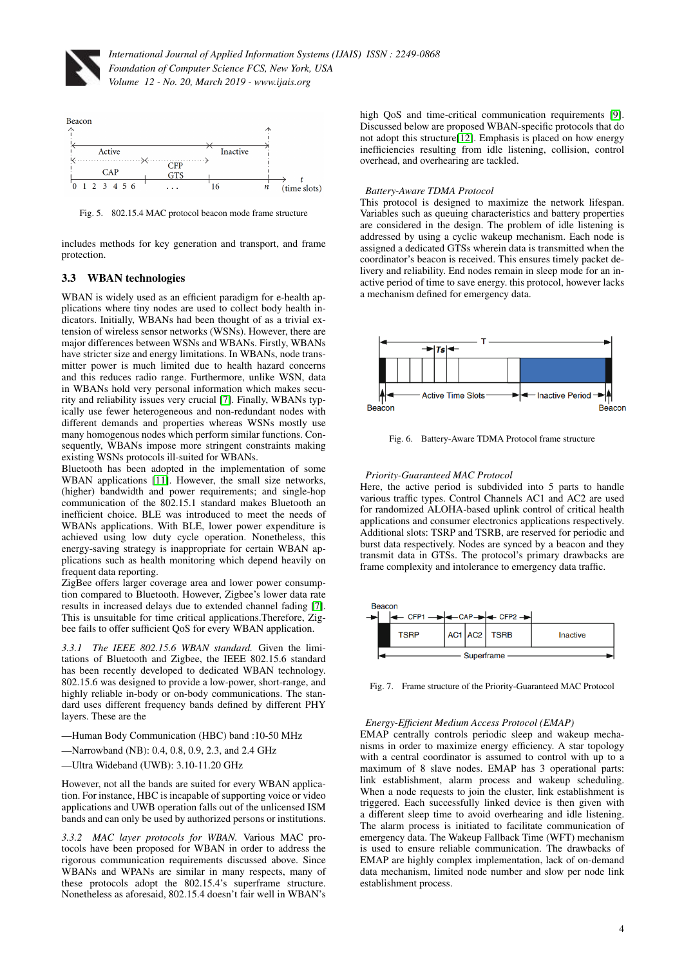



<span id="page-3-0"></span>Fig. 5. 802.15.4 MAC protocol beacon mode frame structure

includes methods for key generation and transport, and frame protection.

## 3.3 WBAN technologies

WBAN is widely used as an efficient paradigm for e-health applications where tiny nodes are used to collect body health indicators. Initially, WBANs had been thought of as a trivial extension of wireless sensor networks (WSNs). However, there are major differences between WSNs and WBANs. Firstly, WBANs have stricter size and energy limitations. In WBANs, node transmitter power is much limited due to health hazard concerns and this reduces radio range. Furthermore, unlike WSN, data in WBANs hold very personal information which makes security and reliability issues very crucial [\[7\]](#page-6-6). Finally, WBANs typically use fewer heterogeneous and non-redundant nodes with different demands and properties whereas WSNs mostly use many homogenous nodes which perform similar functions. Consequently, WBANs impose more stringent constraints making existing WSNs protocols ill-suited for WBANs.

Bluetooth has been adopted in the implementation of some WBAN applications [\[11\]](#page-6-7). However, the small size networks, (higher) bandwidth and power requirements; and single-hop communication of the 802.15.1 standard makes Bluetooth an inefficient choice. BLE was introduced to meet the needs of WBANs applications. With BLE, lower power expenditure is achieved using low duty cycle operation. Nonetheless, this energy-saving strategy is inappropriate for certain WBAN applications such as health monitoring which depend heavily on frequent data reporting.

ZigBee offers larger coverage area and lower power consumption compared to Bluetooth. However, Zigbee's lower data rate results in increased delays due to extended channel fading [\[7\]](#page-6-6). This is unsuitable for time critical applications.Therefore, Zigbee fails to offer sufficient QoS for every WBAN application.

*3.3.1 The IEEE 802.15.6 WBAN standard.* Given the limitations of Bluetooth and Zigbee, the IEEE 802.15.6 standard has been recently developed to dedicated WBAN technology. 802.15.6 was designed to provide a low-power, short-range, and highly reliable in-body or on-body communications. The standard uses different frequency bands defined by different PHY layers. These are the

- —Human Body Communication (HBC) band :10-50 MHz
- —Narrowband (NB): 0.4, 0.8, 0.9, 2.3, and 2.4 GHz

—Ultra Wideband (UWB): 3.10-11.20 GHz

However, not all the bands are suited for every WBAN application. For instance, HBC is incapable of supporting voice or video applications and UWB operation falls out of the unlicensed ISM bands and can only be used by authorized persons or institutions.

*3.3.2 MAC layer protocols for WBAN.* Various MAC protocols have been proposed for WBAN in order to address the rigorous communication requirements discussed above. Since WBANs and WPANs are similar in many respects, many of these protocols adopt the 802.15.4's superframe structure. Nonetheless as aforesaid, 802.15.4 doesn't fair well in WBAN's

high QoS and time-critical communication requirements [\[9\]](#page-6-8). Discussed below are proposed WBAN-specific protocols that do not adopt this structure[\[12\]](#page-6-9). Emphasis is placed on how energy inefficiencies resulting from idle listening, collision, control overhead, and overhearing are tackled.

#### *Battery-Aware TDMA Protocol*

This protocol is designed to maximize the network lifespan. Variables such as queuing characteristics and battery properties are considered in the design. The problem of idle listening is addressed by using a cyclic wakeup mechanism. Each node is assigned a dedicated GTSs wherein data is transmitted when the coordinator's beacon is received. This ensures timely packet delivery and reliability. End nodes remain in sleep mode for an inactive period of time to save energy. this protocol, however lacks a mechanism defined for emergency data.



Fig. 6. Battery-Aware TDMA Protocol frame structure

#### *Priority-Guaranteed MAC Protocol*

Here, the active period is subdivided into 5 parts to handle various traffic types. Control Channels AC1 and AC2 are used for randomized ALOHA-based uplink control of critical health applications and consumer electronics applications respectively. Additional slots: TSRP and TSRB, are reserved for periodic and burst data respectively. Nodes are synced by a beacon and they transmit data in GTSs. The protocol's primary drawbacks are frame complexity and intolerance to emergency data traffic.



Fig. 7. Frame structure of the Priority-Guaranteed MAC Protocol

## *Energy-Efficient Medium Access Protocol (EMAP)*

EMAP centrally controls periodic sleep and wakeup mechanisms in order to maximize energy efficiency. A star topology with a central coordinator is assumed to control with up to a maximum of 8 slave nodes. EMAP has 3 operational parts: link establishment, alarm process and wakeup scheduling. When a node requests to join the cluster, link establishment is triggered. Each successfully linked device is then given with a different sleep time to avoid overhearing and idle listening. The alarm process is initiated to facilitate communication of emergency data. The Wakeup Fallback Time (WFT) mechanism is used to ensure reliable communication. The drawbacks of EMAP are highly complex implementation, lack of on-demand data mechanism, limited node number and slow per node link establishment process.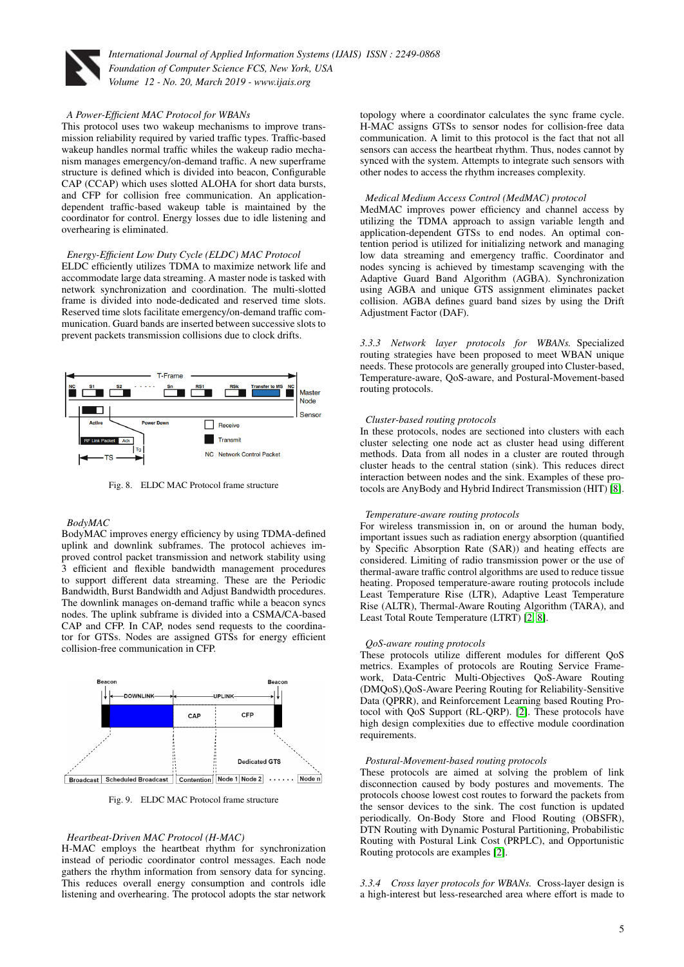

#### *A Power-Efficient MAC Protocol for WBANs*

This protocol uses two wakeup mechanisms to improve transmission reliability required by varied traffic types. Traffic-based wakeup handles normal traffic whiles the wakeup radio mechanism manages emergency/on-demand traffic. A new superframe structure is defined which is divided into beacon, Configurable CAP (CCAP) which uses slotted ALOHA for short data bursts, and CFP for collision free communication. An applicationdependent traffic-based wakeup table is maintained by the coordinator for control. Energy losses due to idle listening and overhearing is eliminated.

#### *Energy-Efficient Low Duty Cycle (ELDC) MAC Protocol*

ELDC efficiently utilizes TDMA to maximize network life and accommodate large data streaming. A master node is tasked with network synchronization and coordination. The multi-slotted frame is divided into node-dedicated and reserved time slots. Reserved time slots facilitate emergency/on-demand traffic communication. Guard bands are inserted between successive slots to prevent packets transmission collisions due to clock drifts.



Fig. 8. ELDC MAC Protocol frame structure

## *BodyMAC*

BodyMAC improves energy efficiency by using TDMA-defined uplink and downlink subframes. The protocol achieves improved control packet transmission and network stability using 3 efficient and flexible bandwidth management procedures to support different data streaming. These are the Periodic Bandwidth, Burst Bandwidth and Adjust Bandwidth procedures. The downlink manages on-demand traffic while a beacon syncs nodes. The uplink subframe is divided into a CSMA/CA-based CAP and CFP. In CAP, nodes send requests to the coordinator for GTSs. Nodes are assigned GTSs for energy efficient collision-free communication in CFP.



Fig. 9. ELDC MAC Protocol frame structure

#### *Heartbeat-Driven MAC Protocol (H-MAC)*

H-MAC employs the heartbeat rhythm for synchronization instead of periodic coordinator control messages. Each node gathers the rhythm information from sensory data for syncing. This reduces overall energy consumption and controls idle listening and overhearing. The protocol adopts the star network

topology where a coordinator calculates the sync frame cycle. H-MAC assigns GTSs to sensor nodes for collision-free data communication. A limit to this protocol is the fact that not all sensors can access the heartbeat rhythm. Thus, nodes cannot by synced with the system. Attempts to integrate such sensors with other nodes to access the rhythm increases complexity.

#### *Medical Medium Access Control (MedMAC) protocol*

MedMAC improves power efficiency and channel access by utilizing the TDMA approach to assign variable length and application-dependent GTSs to end nodes. An optimal contention period is utilized for initializing network and managing low data streaming and emergency traffic. Coordinator and nodes syncing is achieved by timestamp scavenging with the Adaptive Guard Band Algorithm (AGBA). Synchronization using AGBA and unique GTS assignment eliminates packet collision. AGBA defines guard band sizes by using the Drift Adjustment Factor (DAF).

*3.3.3 Network layer protocols for WBANs.* Specialized routing strategies have been proposed to meet WBAN unique needs. These protocols are generally grouped into Cluster-based, Temperature-aware, QoS-aware, and Postural-Movement-based routing protocols.

#### *Cluster-based routing protocols*

In these protocols, nodes are sectioned into clusters with each cluster selecting one node act as cluster head using different methods. Data from all nodes in a cluster are routed through cluster heads to the central station (sink). This reduces direct interaction between nodes and the sink. Examples of these protocols are AnyBody and Hybrid Indirect Transmission (HIT) [\[8\]](#page-6-3).

#### *Temperature-aware routing protocols*

For wireless transmission in, on or around the human body, important issues such as radiation energy absorption (quantified by Specific Absorption Rate (SAR)) and heating effects are considered. Limiting of radio transmission power or the use of thermal-aware traffic control algorithms are used to reduce tissue heating. Proposed temperature-aware routing protocols include Least Temperature Rise (LTR), Adaptive Least Temperature Rise (ALTR), Thermal-Aware Routing Algorithm (TARA), and Least Total Route Temperature (LTRT) [\[2,](#page-6-10) [8\]](#page-6-3).

#### *QoS-aware routing protocols*

These protocols utilize different modules for different QoS metrics. Examples of protocols are Routing Service Framework, Data-Centric Multi-Objectives QoS-Aware Routing (DMQoS),QoS-Aware Peering Routing for Reliability-Sensitive Data (QPRR), and Reinforcement Learning based Routing Protocol with QoS Support (RL-QRP). [\[2\]](#page-6-10). These protocols have high design complexities due to effective module coordination requirements.

#### *Postural-Movement-based routing protocols*

These protocols are aimed at solving the problem of link disconnection caused by body postures and movements. The protocols choose lowest cost routes to forward the packets from the sensor devices to the sink. The cost function is updated periodically. On-Body Store and Flood Routing (OBSFR), DTN Routing with Dynamic Postural Partitioning, Probabilistic Routing with Postural Link Cost (PRPLC), and Opportunistic Routing protocols are examples [\[2\]](#page-6-10).

*3.3.4 Cross layer protocols for WBANs.* Cross-layer design is a high-interest but less-researched area where effort is made to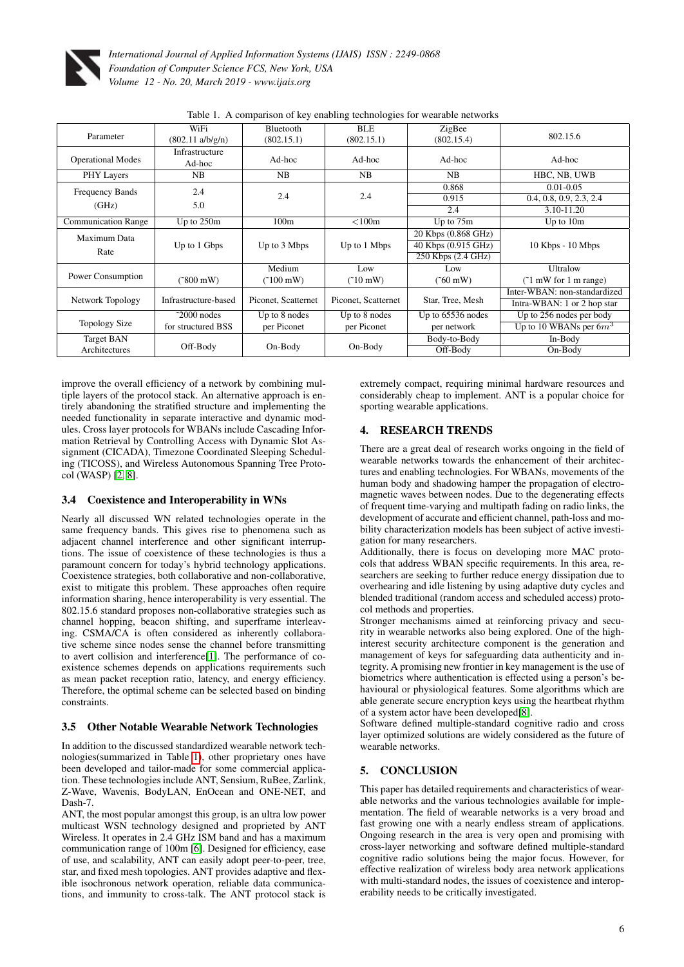

| were it if comparison of not chaoming technologies for wearable herworks |                            |                       |                     |                     |                              |
|--------------------------------------------------------------------------|----------------------------|-----------------------|---------------------|---------------------|------------------------------|
|                                                                          | WiFi                       | Bluetooth             | BLE                 | ZigBee              |                              |
| Parameter                                                                | $(802.11 \text{ a/b/g/n})$ | (802.15.1)            | (802.15.1)          | (802.15.4)          | 802.15.6                     |
| <b>Operational Modes</b>                                                 | Infrastructure<br>Ad-hoc   | Ad-hoc                | Ad-hoc              | Ad-hoc              | Ad-hoc                       |
| <b>PHY Layers</b>                                                        | NB                         | NB                    | NB                  | NB                  | HBC, NB, UWB                 |
| <b>Frequency Bands</b>                                                   | 2.4                        |                       |                     | 0.868               | $0.01 - 0.05$                |
|                                                                          | 5.0                        | 2.4                   | 2.4                 | 0.915               | 0.4, 0.8, 0.9, 2.3, 2.4      |
| (GHz)                                                                    |                            |                       |                     | 2.4                 | 3.10-11.20                   |
| <b>Communication Range</b>                                               | Up to 250m                 | 100m                  | $<$ 100 $m$         | Up to $75m$         | Up to $10m$                  |
| Maximum Data                                                             |                            |                       |                     | 20 Kbps (0.868 GHz) |                              |
|                                                                          | Up to 1 Gbps               | Up to 3 Mbps          | Up to 1 Mbps        | 40 Kbps (0.915 GHz) | 10 Kbps - 10 Mbps            |
| Rate                                                                     |                            |                       |                     | 250 Kbps (2.4 GHz)  |                              |
|                                                                          |                            | Medium                | Low                 | Low                 | Ultralow                     |
| Power Consumption                                                        | $(500 \,\mathrm{mW})$      | $(100 \,\mathrm{mW})$ | $(10 \text{ mW})$   | $(560 \text{ mW})$  | $($ [1 mW for 1 m range)     |
|                                                                          |                            |                       |                     |                     | Inter-WBAN: non-standardized |
| Network Topology                                                         | Infrastructure-based       | Piconet, Scatternet   | Piconet, Scatternet | Star, Tree, Mesh    | Intra-WBAN: 1 or 2 hop star  |
|                                                                          | $\degree$ 2000 nodes       | Up to 8 nodes         | Up to 8 nodes       | Up to $65536$ nodes | Up to 256 nodes per body     |
| <b>Topology Size</b>                                                     | for structured BSS         | per Piconet           | per Piconet         | per network         | Up to 10 WBANs per $6m^3$    |
| <b>Target BAN</b>                                                        |                            |                       |                     | Body-to-Body        | In-Body                      |
| Architectures                                                            | Off-Body                   | On-Body               | On-Body             | Off-Body            | On-Body                      |

<span id="page-5-2"></span>Table 1. A comparison of key enabling technologies for wearable networks

improve the overall efficiency of a network by combining multiple layers of the protocol stack. An alternative approach is entirely abandoning the stratified structure and implementing the needed functionality in separate interactive and dynamic modules. Cross layer protocols for WBANs include Cascading Information Retrieval by Controlling Access with Dynamic Slot Assignment (CICADA), Timezone Coordinated Sleeping Scheduling (TICOSS), and Wireless Autonomous Spanning Tree Protocol (WASP) [\[2,](#page-6-10) [8\]](#page-6-3).

# 3.4 Coexistence and Interoperability in WNs

Nearly all discussed WN related technologies operate in the same frequency bands. This gives rise to phenomena such as adjacent channel interference and other significant interruptions. The issue of coexistence of these technologies is thus a paramount concern for today's hybrid technology applications. Coexistence strategies, both collaborative and non-collaborative, exist to mitigate this problem. These approaches often require information sharing, hence interoperability is very essential. The 802.15.6 standard proposes non-collaborative strategies such as channel hopping, beacon shifting, and superframe interleaving. CSMA/CA is often considered as inherently collaborative scheme since nodes sense the channel before transmitting to avert collision and interference[\[1\]](#page-6-0). The performance of coexistence schemes depends on applications requirements such as mean packet reception ratio, latency, and energy efficiency. Therefore, the optimal scheme can be selected based on binding constraints.

## 3.5 Other Notable Wearable Network Technologies

In addition to the discussed standardized wearable network technologies(summarized in Table [1\)](#page-5-2), other proprietary ones have been developed and tailor-made for some commercial application. These technologies include ANT, Sensium, RuBee, Zarlink, Z-Wave, Wavenis, BodyLAN, EnOcean and ONE-NET, and Dash-7.

ANT, the most popular amongst this group, is an ultra low power multicast WSN technology designed and proprieted by ANT Wireless. It operates in 2.4 GHz ISM band and has a maximum communication range of 100m [\[6\]](#page-6-11). Designed for efficiency, ease of use, and scalability, ANT can easily adopt peer-to-peer, tree, star, and fixed mesh topologies. ANT provides adaptive and flexible isochronous network operation, reliable data communications, and immunity to cross-talk. The ANT protocol stack is

extremely compact, requiring minimal hardware resources and considerably cheap to implement. ANT is a popular choice for sporting wearable applications.

# <span id="page-5-0"></span>4. RESEARCH TRENDS

There are a great deal of research works ongoing in the field of wearable networks towards the enhancement of their architectures and enabling technologies. For WBANs, movements of the human body and shadowing hamper the propagation of electromagnetic waves between nodes. Due to the degenerating effects of frequent time-varying and multipath fading on radio links, the development of accurate and efficient channel, path-loss and mobility characterization models has been subject of active investigation for many researchers.

Additionally, there is focus on developing more MAC protocols that address WBAN specific requirements. In this area, researchers are seeking to further reduce energy dissipation due to overhearing and idle listening by using adaptive duty cycles and blended traditional (random access and scheduled access) protocol methods and properties.

Stronger mechanisms aimed at reinforcing privacy and security in wearable networks also being explored. One of the highinterest security architecture component is the generation and management of keys for safeguarding data authenticity and integrity. A promising new frontier in key management is the use of biometrics where authentication is effected using a person's behavioural or physiological features. Some algorithms which are able generate secure encryption keys using the heartbeat rhythm of a system actor have been developed[\[8\]](#page-6-3).

Software defined multiple-standard cognitive radio and cross layer optimized solutions are widely considered as the future of wearable networks.

# <span id="page-5-1"></span>5. CONCLUSION

This paper has detailed requirements and characteristics of wearable networks and the various technologies available for implementation. The field of wearable networks is a very broad and fast growing one with a nearly endless stream of applications. Ongoing research in the area is very open and promising with cross-layer networking and software defined multiple-standard cognitive radio solutions being the major focus. However, for effective realization of wireless body area network applications with multi-standard nodes, the issues of coexistence and interoperability needs to be critically investigated.